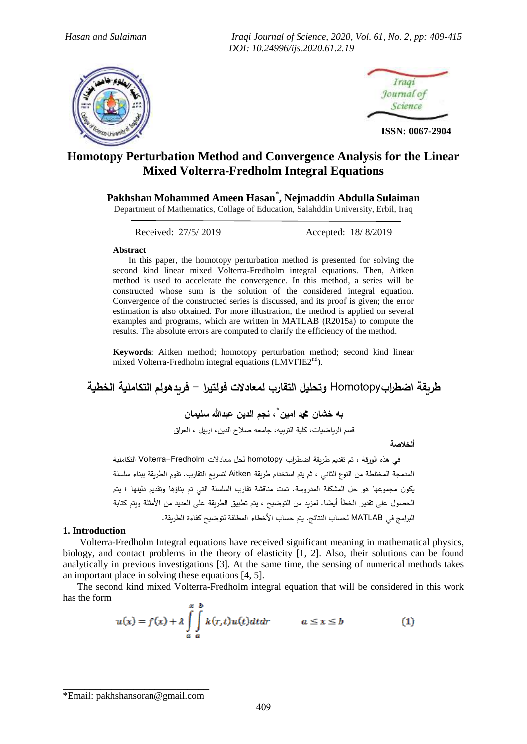*Hasan and Sulaiman Iraqi Journal of Science, 2020, Vol. 61, No. 2, pp: 409-415 DOI: 10.24996/ijs.2020.61.2.19*





**ISSN: 0067-2904**

# **Homotopy Perturbation Method and Convergence Analysis for the Linear Mixed Volterra-Fredholm Integral Equations**

# **Pakhshan Mohammed Ameen Hasan\* , Nejmaddin Abdulla Sulaiman**

Department of Mathematics, Collage of Education, Salahddin University, Erbil, Iraq

Received: 27/5/ 2019 Accepted: 18/ 8/2019

### **Abstract**

In this paper, the homotopy perturbation method is presented for solving the second kind linear mixed Volterra-Fredholm integral equations. Then, Aitken method is used to accelerate the convergence. In this method, a series will be constructed whose sum is the solution of the considered integral equation. Convergence of the constructed series is discussed, and its proof is given; the error estimation is also obtained. For more illustration, the method is applied on several examples and programs, which are written in MATLAB (R2015a) to compute the results. The absolute errors are computed to clarify the efficiency of the method.

**Keywords**: Aitken method; homotopy perturbation method; second kind linear mixed Volterra-Fredholm integral equations (LMVFIE2<sup>nd</sup>).

**طريقة اضطراب**Homotopy **وتحليل التقارب لمعادالت فهلتيرا - فريدههلم التكاملية الخطية**

**\* به خشان دمحم امين ، نجم الدين عبدهللا سليمان**

قدم الرياضيات، كلية التربيو، جامعو صالح الدين، اربيل ، العراق

**ألخالصة**

 في ىذه الهرقة ، تم تقديم طريقة اضطراب homotopy لحل معادالت Fredholm-Volterra التكاملية المدمجة المختلطة من النوع الثاني ، ثم يتم استخدام طريقة Aitken لتسريع التقارب. تقوم الطريقة ببناء سلسلة يكون مجموعها هو حل المشكلة المدروسة. تمت مناقشة تقارب السلسلة التي تم بناؤها وتقديم دليلها ؛ يتم الحصول على تقدير الخطأ أيضًا. لمزيد من التوضيح ، يتم تطبيق الطريقة على العديد من الأمثلة ويتم كتابة البرامج في MATLAB لحداب الشتائج. يتم حداب األخطاء السطلقة لتهضيح كفاءة الطريقة.

#### **1. Introduction**

 Volterra-Fredholm Integral equations have received significant meaning in mathematical physics, biology, and contact problems in the theory of elasticity [1, 2]. Also, their solutions can be found analytically in previous investigations [3]. At the same time, the sensing of numerical methods takes an important place in solving these equations [4, 5].

 The second kind mixed Volterra-Fredholm integral equation that will be considered in this work has the form

$$
u(x) = f(x) + \lambda \int_{a}^{x} \int_{a}^{b} k(r, t)u(t)dt dr \qquad a \le x \le b
$$
 (1)

 $\mathcal{L}_\text{max}$  , where  $\mathcal{L}_\text{max}$  is the set of the set of the set of the set of the set of the set of the set of the set of the set of the set of the set of the set of the set of the set of the set of the set of the se \*Email: pakhshansoran@gmail.com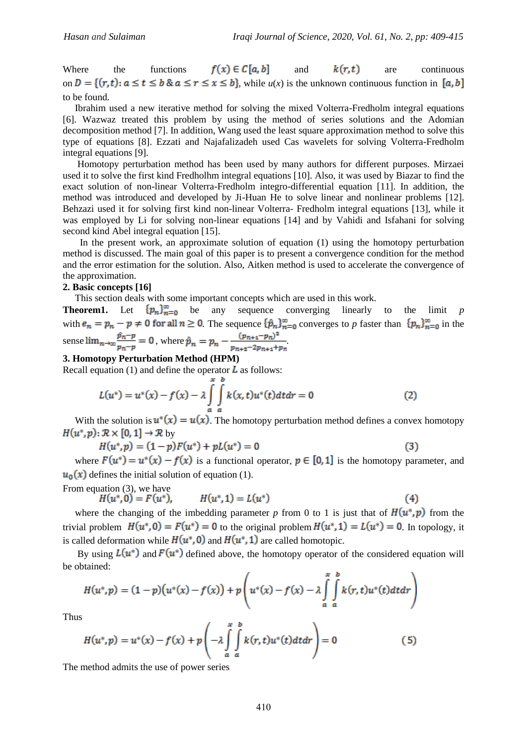Where the functions  $f(x) \in C[a, b]$  and  $k(r, t)$  are continuous on  $D = \{(r, t): a \le t \le b \& a \le r \le x \le b\}$ , while  $u(x)$  is the unknown continuous function in [a, b] to be found.

 Ibrahim used a new iterative method for solving the mixed Volterra-Fredholm integral equations [6]. Wazwaz treated this problem by using the method of series solutions and the Adomian decomposition method [7]. In addition, Wang used the least square approximation method to solve this type of equations [8]. Ezzati and Najafalizadeh used Cas wavelets for solving Volterra-Fredholm integral equations [9].

 Homotopy perturbation method has been used by many authors for different purposes. Mirzaei used it to solve the first kind Fredholhm integral equations [10]. Also, it was used by Biazar to find the exact solution of non-linear Volterra-Fredholm integro-differential equation [11]. In addition, the method was introduced and developed by Ji-Huan He to solve linear and nonlinear problems [12]. Behzazi used it for solving first kind non-linear Volterra- Fredholm integral equations [13], while it was employed by Li for solving non-linear equations [14] and by Vahidi and Isfahani for solving second kind Abel integral equation [15].

 In the present work, an approximate solution of equation (1) using the homotopy perturbation method is discussed. The main goal of this paper is to present a convergence condition for the method and the error estimation for the solution. Also, Aitken method is used to accelerate the convergence of the approximation.

### **2. Basic concepts [16]**

This section deals with some important concepts which are used in this work.

**Theorem1.** Let  $\{p_n\}_{n=0}^{\infty}$  be any sequence converging linearly to the limit *p* with  $e_n = p_n - p \neq 0$  for all  $n \geq 0$ . The sequence  $\{\hat{p}_n\}_{n=0}^{\infty}$  converges to p faster than  $\{p_n\}_{n=0}^{\infty}$  in the sense  $\lim_{n\to\infty} \frac{\hat{p}_n - p}{p_n - p} = 0$ , where  $\hat{p}_n = p_n - \frac{(p_{n+1} - p_n)^2}{p_{n+2} - 2p_{n+1} + p_n}$ 

## **3. Homotopy Perturbation Method (HPM)**

Recall equation (1) and define the operator  $\bf{L}$  as follows:

$$
L(u^*) = u^*(x) - f(x) - \lambda \int_a^x \int_a^x k(x, t)u^*(t)dtdr = 0
$$
\n(2)

With the solution is  $u^*(x) = u(x)$ . The homotopy perturbation method defines a convex homotopy  $H(u^*,p): \mathcal{R} \times [0,1] \rightarrow \mathcal{R}$  by

$$
H(u^*, p) = (1 - p)F(u^*) + pL(u^*) = 0
$$
\n(3)

where  $F(u^*) = u^*(x) - f(x)$  is a functional operator,  $p \in [0,1]$  is the homotopy parameter, and  $u_0(x)$  defines the initial solution of equation (1).

From equation 
$$
(3)
$$
, we have

$$
H(u^* - H(u^*) = L(u^*)
$$
 (4)

where the changing of the imbedding parameter *p* from 0 to 1 is just that of  $H(u^*, p)$  from the trivial problem  $H(u^*, 0) = F(u^*) = 0$  to the original problem  $H(u^*, 1) = L(u^*) = 0$ . In topology, it is called deformation while  $H(u^*, 0)$  and  $H(u^*, 1)$  are called homotopic.

By using  $L(u^*)$  and  $F(u^*)$  defined above, the homotopy operator of the considered equation will be obtained:  $\mathbf{u}$ 

$$
H(u^*,p) = (1-p)\big(u^*(x)-f(x)\big)+p\left(u^*(x)-f(x)-\lambda\int\limits_{a}^x\int\limits_a^b k(r,t)u^*(t)dtdr\right)
$$

Thus

$$
H(u^*,p) = u^*(x) - f(x) + p\left(-\lambda \int\limits_a^x \int\limits_a^b k(r,t)u^*(t)dtdr\right) = 0
$$
 (5)

The method admits the use of power series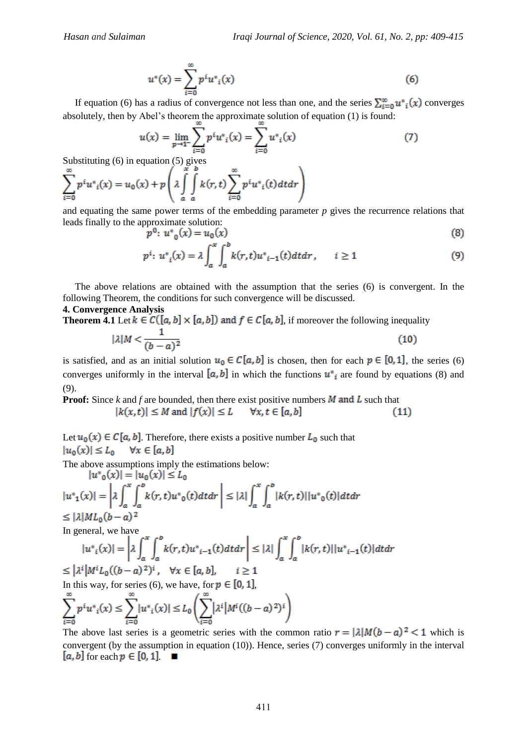$$
u^*(x) = \sum_{i=0}^{\infty} p^i u^*_{i}(x)
$$
 (6)

If equation (6) has a radius of convergence not less than one, and the series  $\sum_{i=0}^{\infty} u^*(x)$  converges absolutely, then by Abel's theorem the approximate solution of equation (1) is found:

$$
u(x) = \lim_{p \to 1^{-}} \sum_{i=0}^{\infty} p^{i} u^{*} u(i)} = \sum_{i=0}^{\infty} u^{*} u(i)} \tag{7}
$$

Substituting (6) in equation (5) gives

$$
\sum_{i=0}^{\infty} p^i u^*_{i}(x) = u_0(x) + p \left( \lambda \int_a^x \int_a^b k(r, t) \sum_{i=0}^{\infty} p^i u^*_{i}(t) dt dr \right)
$$

and equating the same power terms of the embedding parameter *p* gives the recurrence relations that leads finally to the approximate solution:

$$
p^{0}: u^{*}_{0}(x) = u_{0}(x)
$$
\n(8)

$$
p^{i}: u_{i}^{*}(x) = \lambda \int_{a}^{x} \int_{a}^{b} k(r, t) u_{i-1}^{*}(t) dt dr, \qquad i \ge 1
$$
 (9)

 The above relations are obtained with the assumption that the series (6) is convergent. In the following Theorem, the conditions for such convergence will be discussed.

#### **4. Convergence Analysis**

**Theorem 4.1** Let  $k \in C([a, b] \times [a, b])$  and  $f \in C[a, b]$ , if moreover the following inequality

$$
|\lambda|M < \frac{1}{(b-a)^2} \tag{10}
$$

is satisfied, and as an initial solution  $u_0 \in C[a, b]$  is chosen, then for each  $p \in [0, 1]$ , the series (6) converges uniformly in the interval  $[a, b]$  in which the functions  $u^*$  are found by equations (8) and (9).

**Proof:** Since *k* and *f* are bounded, then there exist positive numbers  $M$  and  $L$  such that  $|k(x,t)| \leq M$  and  $|f(x)| \leq L$  $\forall x. t \in [a, b]$  $(11)$ 

Let  $u_0(x) \in C[a, b]$ . Therefore, there exists a positive number  $L_0$  such that  $|u_0(x)| \leq L_0 \quad \forall x \in [a, b]$ 

The above assumptions imply the estimations below:<br> $|u^*_{\alpha}(x)| = |u_{\alpha}(x)| \le L_{\alpha}$ 

$$
|u^*_{1}(x)| = \left|\lambda \int_a^x \int_a^b k(r, t) u^*_{0}(t) dt dr\right| \leq |\lambda| \int_a^x \int_a^b |k(r, t)| |u^*_{0}(t)| dt dr
$$
  

$$
\leq |\lambda| ML_{0}(b-a)^2
$$

In general, we have

$$
|u^*_{i}(x)| = \left|\lambda \int_a^x \int_a^b k(r,t)u^*_{i-1}(t)dt dr\right| \leq |\lambda| \int_a^x \int_a^b |k(r,t)| |u^*_{i-1}(t)| dt dr
$$
  

$$
\leq |\lambda^i| M^i L_0((b-a)^2)^i, \quad \forall x \in [a, b], \qquad i \geq 1
$$

In this way, for series (6), we have, for  $p \in [0, 1]$ .

$$
\sum_{i=0}^{\infty} p^i u^*_{i}(x) \le \sum_{i=0}^{\infty} |u^*_{i}(x)| \le L_0 \left( \sum_{i=0}^{\infty} |\lambda^i| M^i ((b-a)^2)^i \right)
$$

The above last series is a geometric series with the common ratio  $r = |\lambda|M(b-a)|^2 < 1$  which is convergent (by the assumption in equation (10)). Hence, series (7) converges uniformly in the interval  $[a, b]$  for each  $p \in [0, 1]$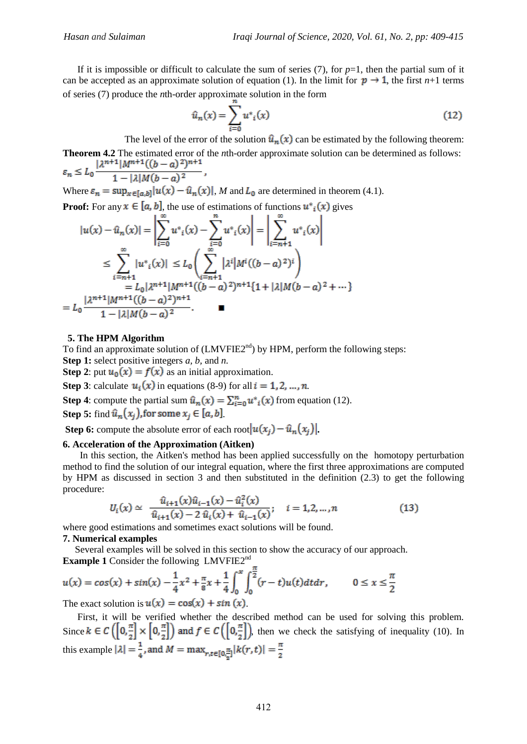If it is impossible or difficult to calculate the sum of series  $(7)$ , for  $p=1$ , then the partial sum of it can be accepted as an approximate solution of equation (1). In the limit for  $p \rightarrow 1$ , the first *n*+1 terms of series (7) produce the *n*th-order approximate solution in the form

$$
\hat{u}_n(x) = \sum_{i=0}^{n} u^*_{i}(x)
$$
\n(12)

The level of the error of the solution  $\hat{u}_n(x)$  can be estimated by the following theorem: **Theorem 4.2** The estimated error of the *n*th-order approximate solution can be determined as follows:<br> $\lambda^{n+1} |M^{n+1}((b-a)^2)^{n+1}$ 

$$
\varepsilon_n \le L_0 \frac{1 - |\lambda| M (b - a)^2}{1 - |\lambda| M (b - a)^2},
$$
  
Where  $\varepsilon_n = \sup_{x \in [a, b]} |u(x) - \hat{u}_n(x)|$ , M and  $L_0$  are determined in theorem (4.1).

**Proof:** For any  $x \in [a, b]$ , the use of estimations of functions  $u^*_{i}(x)$  gives

$$
|u(x) - \hat{u}_n(x)| = \left| \sum_{i=0}^{\infty} u^*_{i}(x) - \sum_{i=0}^{n} u^*_{i}(x) \right| = \left| \sum_{i=n+1}^{\infty} u^*_{i}(x) \right|
$$
  
\n
$$
\leq \sum_{i=n+1}^{\infty} |u^*_{i}(x)| \leq L_0 \left( \sum_{i=n+1}^{\infty} |\lambda^{i}| M^{i} ((b-a)^2)^{i} \right)
$$
  
\n
$$
= L_0 |\lambda^{n+1}| M^{n+1} ((b-a)^2)^{n+1}
$$
  
\n
$$
= L_0 \frac{|\lambda^{n+1}| M^{n+1} ((b-a)^2)^{n+1}}{1 - |\lambda| M (b-a)^2}.
$$

#### **5. The HPM Algorithm**

To find an approximate solution of  $(LMVFIE2<sup>nd</sup>)$  by HPM, perform the following steps:

**Step 1:** select positive integers *a, b,* and *n.*

**Step 2**: put  $u_0(x) = f(x)$  as an initial approximation.

**Step 3**: calculate  $u_i(x)$  in equations (8-9) for all  $i = 1, 2, ..., n$ .

**Step 4**: compute the partial sum  $\hat{u}_n(x) = \sum_{i=0}^n u^*(x)$  from equation (12).

**Step 5:** find  $\hat{u}_n(x_i)$ , for some  $x_i \in [a, b]$ .

**Step 6:** compute the absolute error of each root  $|u(x_i) - \hat{u}_n(x_i)|$ .

#### **6. Acceleration of the Approximation (Aitken)**

 In this section, the Aitken's method has been applied successfully on the homotopy perturbation method to find the solution of our integral equation, where the first three approximations are computed by HPM as discussed in section 3 and then substituted in the definition (2.3) to get the following procedure:

$$
U_i(x) \simeq \frac{\hat{u}_{i+1}(x)\hat{u}_{i-1}(x) - \hat{u}_i^2(x)}{\hat{u}_{i+1}(x) - 2\hat{u}_i(x) + \hat{u}_{i-1}(x)}; \quad i = 1, 2, ..., n
$$
 (13)

where good estimations and sometimes exact solutions will be found.

#### **7. Numerical examples**

 Several examples will be solved in this section to show the accuracy of our approach. **Example 1** Consider the following LMVFIE2nd

 $u(x) = cos(x) + sin(x) - \frac{1}{4}x^2 + \frac{\pi}{8}x + \frac{1}{4}\int_{0}^{x}\int_{0}^{\frac{\pi}{2}}(r-t)u(t)dtdr$ ,  $0 \le x \le \frac{\pi}{2}$ 

The exact solution is  $u(x) = \cos(x) + \sin(x)$ .

 First, it will be verified whether the described method can be used for solving this problem. Since  $k \in C\left(\left[0, \frac{\pi}{2}\right] \times \left[0, \frac{\pi}{2}\right]\right)$  and  $f \in C\left(\left[0, \frac{\pi}{2}\right]\right)$ , then we check the satisfying of inequality (10). In this example  $|\lambda| = \frac{1}{4}$ , and  $M = \max_{r,t \in [0,\frac{\pi}{2}]} |k(r,t)| = \frac{\pi}{2}$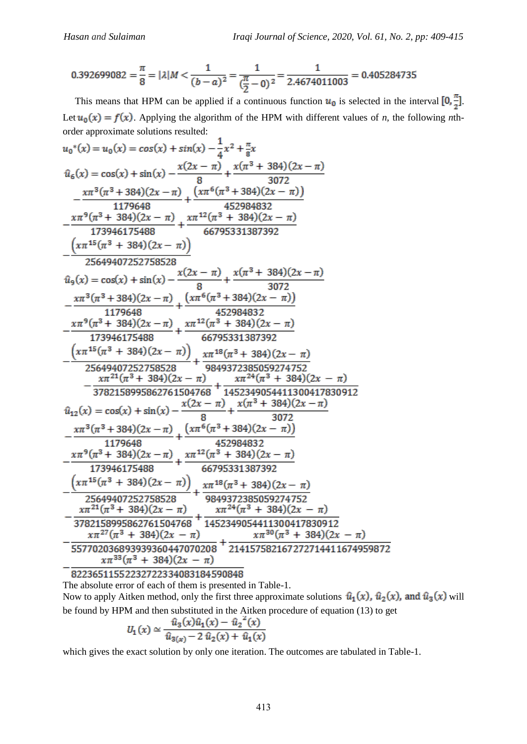$$
0.392699082 = \frac{\pi}{8} = |\lambda| M < \frac{1}{(b-a)^2} = \frac{1}{(\frac{\pi}{2}-0)^2} = \frac{1}{2.4674011003} = 0.405284735
$$

This means that HPM can be applied if a continuous function  $u_0$  is selected in the interval  $[0, \frac{\pi}{2}]$ . Let  $u_0(x) = f(x)$ . Applying the algorithm of the HPM with different values of *n*, the following *n*thorder approximate solutions resulted:

$$
u_0^*(x) = u_0(x) = cos(x) + sin(x) - \frac{1}{4}x^2 + \frac{\pi}{8}x
$$
  
\n
$$
\hat{u}_6(x) = cos(x) + sin(x) - \frac{x(2x - \pi)}{8} + \frac{x(\pi^3 + 384)(2x - \pi)}{3072}
$$
\n
$$
- \frac{x\pi^3(\pi^3 + 384)(2x - \pi)}{1179648} + \frac{(x\pi^6(\pi^3 + 384)(2x - \pi))}{452984832}
$$
\n
$$
- \frac{x\pi^9(\pi^3 + 384)(2x - \pi)}{173946175488} + \frac{x\pi^{12}(\pi^3 + 384)(2x - \pi)}{66795331387392}
$$
\n
$$
\left(\frac{x\pi^{15}(\pi^3 + 384)(2x - \pi)}{25649407252758528}\right)
$$
\n
$$
\hat{u}_9(x) = cos(x) + sin(x) - \frac{x(2x - \pi)}{8} + \frac{x(\pi^3 + 384)(2x - \pi)}{3072}
$$
\n
$$
- \frac{x\pi^3(\pi^3 + 384)(2x - \pi)}{173946175488} + \frac{x\pi^{12}(\pi^3 + 384)(2x - \pi)}{66795331387392}
$$
\n
$$
\frac{(x\pi^{15}(\pi^3 + 384)(2x - \pi))}{173946175488} + \frac{x\pi^{12}(\pi^3 + 384)(2x - \pi)}{66795331387392}
$$
\n
$$
\frac{(x\pi^{15}(\pi^3 + 384)(2x - \pi))}{25649407252758528} + \frac{x\pi^{12}(\pi^3 + 384)(2x - \pi)}{3782158995862761504768} + \frac{x\pi^{24}(\pi^3 + 384)(2x - \pi)}{173946175488} - \frac{x(2x - \pi)}{3782158995862761504768} + \frac{x(28
$$

82236511552232722334083184590848 The absolute error of each of them is presented in Table-1.

Now to apply Aitken method, only the first three approximate solutions  $\hat{u}_1(x)$ ,  $\hat{u}_2(x)$ , and  $\hat{u}_3(x)$  will be found by HPM and then substituted in the Aitken procedure of equation (13) to get

$$
U_1(x) \simeq \frac{\hat{u}_3(x)\hat{u}_1(x) - \hat{u}_2^{\prime\prime}(x)}{\hat{u}_{3(x)} - 2 \hat{u}_2(x) + \hat{u}_1(x)}
$$

which gives the exact solution by only one iteration. The outcomes are tabulated in Table-1.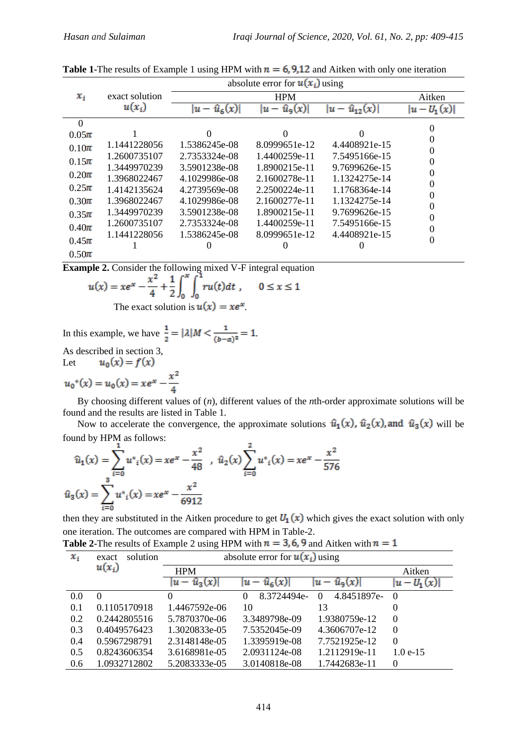|           | exact solution |                          |                         |                             |              |  |
|-----------|----------------|--------------------------|-------------------------|-----------------------------|--------------|--|
| $x_i$     |                |                          | Aitken                  |                             |              |  |
|           | $u(x_i)$       | $\hat{u}_6(x)$<br>$ u -$ | $\hat{u}_9(x)$<br>$u -$ | $\hat{u}_{12}(x)$<br>$ u -$ | $ u-U_1(x) $ |  |
| $\Omega$  |                |                          |                         |                             |              |  |
| $0.05\pi$ |                | $\Omega$                 | $\Omega$                |                             |              |  |
| $0.10\pi$ | 1.1441228056   | 1.5386245e-08            | 8.0999651e-12           | 4.4408921e-15               |              |  |
| $0.15\pi$ | 1.2600735107   | 2.7353324e-08            | 1.4400259e-11           | 7.5495166e-15               |              |  |
|           | 1.3449970239   | 3.5901238e-08            | 1.8900215e-11           | 9.7699626e-15               |              |  |
| $0.20\pi$ | 1.3968022467   | 4.1029986e-08            | 2.1600278e-11           | 1.1324275e-14               |              |  |
| $0.25\pi$ | 1.4142135624   | 4.2739569e-08            | 2.2500224e-11           | 1.1768364e-14               |              |  |
| $0.30\pi$ | 1.3968022467   | 4.1029986e-08            | 2.1600277e-11           | 1.1324275e-14               |              |  |
| $0.35\pi$ | 1.3449970239   | 3.5901238e-08            | 1.8900215e-11           | 9.7699626e-15               |              |  |
| $0.40\pi$ | 1.2600735107   | 2.7353324e-08            | 1.4400259e-11           | 7.5495166e-15               |              |  |
|           | 1.1441228056   | 1.5386245e-08            | 8.0999651e-12           | 4.4408921e-15               |              |  |
| $0.45\pi$ |                |                          |                         |                             |              |  |
| $0.50\pi$ |                |                          |                         |                             |              |  |

**Table 1-**The results of Example 1 using HPM with  $n = 6,9,12$  and Aitken with only one iteration absolute error for  $u(x_i)$  using

**Example 2.** Consider the following mixed V-F integral equation

$$
u(x) = xe^{x} - \frac{x^{2}}{4} + \frac{1}{2} \int_{0}^{x} \int_{0}^{1} ru(t)dt
$$
,  $0 \le x \le 1$   
The exact solution is  $u(x) = xe^{x}$ .

In this example, we have  $\frac{1}{2} = |\lambda| M < \frac{1}{(b-a)^2} = 1$ . As described in section 3,

Let  $u_0(x) = f(x)$ 

$$
u_0^*(x) = u_0(x) = xe^x - \frac{x^2}{4}
$$

 By choosing different values of (*n*), different values of the *n*th-order approximate solutions will be found and the results are listed in Table 1.

Now to accelerate the convergence, the approximate solutions  $\hat{u}_1(x)$ ,  $\hat{u}_2(x)$ , and  $\hat{u}_3(x)$  will be found by HPM as follows:

$$
\hat{u}_1(x) = \sum_{i=0}^{1} u^*_{i}(x) = xe^x - \frac{x^2}{48} , \quad \hat{u}_2(x) = \sum_{i=0}^{2} u^*_{i}(x) = xe^x - \frac{x^2}{576}
$$

$$
\hat{u}_3(x) = \sum_{i=0}^{3} u^*_{i}(x) = xe^x - \frac{x^2}{6912}
$$

then they are substituted in the Aitken procedure to get  $U_1(x)$  which gives the exact solution with only one iteration. The outcomes are compared with HPM in Table-2.

| $x_i$ | solution<br>exact | absolute error for $u(x_i)$ using |                                                    |                  |  |
|-------|-------------------|-----------------------------------|----------------------------------------------------|------------------|--|
|       | $u(x_i)$          | <b>HPM</b>                        |                                                    | Aitken           |  |
|       |                   | $ u - \hat{u}_3(x) $              | $- \hat{u}_9(x)$<br>$\hat{u}_6(x)$<br>$ u -$<br>Iu | $- U_1(x)$<br>Iu |  |
| 0.0   | $\theta$          | $\Omega$                          | 8.3724494e-<br>4.8451897e-<br>$\Omega$<br>$\theta$ | $\Omega$         |  |
| 0.1   | 0.1105170918      | 1.4467592e-06                     | 10<br>13                                           | $\theta$         |  |
| 0.2   | 0.2442805516      | 5.7870370e-06                     | 1.9380759e-12<br>3.3489798e-09                     | $\Omega$         |  |
| 0.3   | 0.4049576423      | 1.3020833e-05                     | 7.5352045e-09<br>4.3606707e-12                     | $\Omega$         |  |
| 0.4   | 0.5967298791      | 2.3148148e-05                     | 1.3395919e-08<br>7.7521925e-12                     | $\Omega$         |  |
| 0.5   | 0.8243606354      | 3.6168981e-05                     | 1.2112919e-11<br>2.0931124e-08                     | $1.0e-15$        |  |
| 0.6   | 1.0932712802      | 5.2083333e-05                     | 3.0140818e-08<br>1.7442683e-11                     | $\Omega$         |  |

**Table 2-The results of Example 2 using HPM with**  $n = 3, 6, 9$  **and Aitken with**  $n = 1$